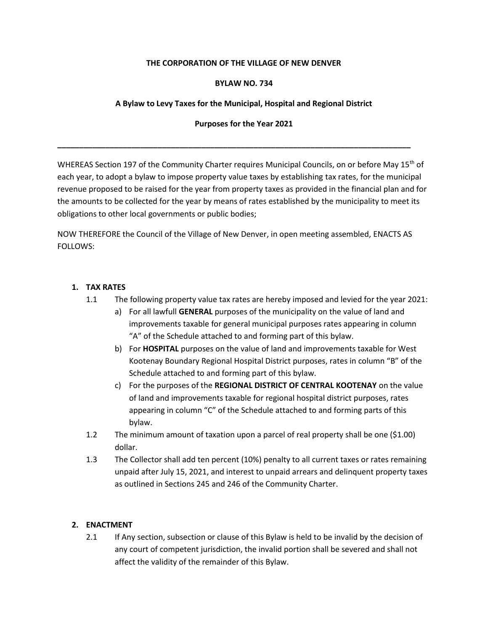### **THE CORPORATION OF THE VILLAGE OF NEW DENVER**

### **BYLAW NO. 734**

# **A Bylaw to Levy Taxes for the Municipal, Hospital and Regional District**

### **Purposes for the Year 2021**

**\_\_\_\_\_\_\_\_\_\_\_\_\_\_\_\_\_\_\_\_\_\_\_\_\_\_\_\_\_\_\_\_\_\_\_\_\_\_\_\_\_\_\_\_\_\_\_\_\_\_\_\_\_\_\_\_\_\_\_\_\_\_\_\_\_\_\_\_\_\_\_\_\_\_\_\_\_\_\_\_\_**

WHEREAS Section 197 of the Community Charter requires Municipal Councils, on or before May 15<sup>th</sup> of each year, to adopt a bylaw to impose property value taxes by establishing tax rates, for the municipal revenue proposed to be raised for the year from property taxes as provided in the financial plan and for the amounts to be collected for the year by means of rates established by the municipality to meet its obligations to other local governments or public bodies;

NOW THEREFORE the Council of the Village of New Denver, in open meeting assembled, ENACTS AS FOLLOWS:

### **1. TAX RATES**

- 1.1 The following property value tax rates are hereby imposed and levied for the year 2021:
	- a) For all lawfull **GENERAL** purposes of the municipality on the value of land and improvements taxable for general municipal purposes rates appearing in column "A" of the Schedule attached to and forming part of this bylaw.
	- b) For **HOSPITAL** purposes on the value of land and improvements taxable for West Kootenay Boundary Regional Hospital District purposes, rates in column "B" of the Schedule attached to and forming part of this bylaw.
	- c) For the purposes of the **REGIONAL DISTRICT OF CENTRAL KOOTENAY** on the value of land and improvements taxable for regional hospital district purposes, rates appearing in column "C" of the Schedule attached to and forming parts of this bylaw.
- 1.2 The minimum amount of taxation upon a parcel of real property shall be one (\$1.00) dollar.
- 1.3 The Collector shall add ten percent (10%) penalty to all current taxes or rates remaining unpaid after July 15, 2021, and interest to unpaid arrears and delinquent property taxes as outlined in Sections 245 and 246 of the Community Charter.

# **2. ENACTMENT**

2.1 If Any section, subsection or clause of this Bylaw is held to be invalid by the decision of any court of competent jurisdiction, the invalid portion shall be severed and shall not affect the validity of the remainder of this Bylaw.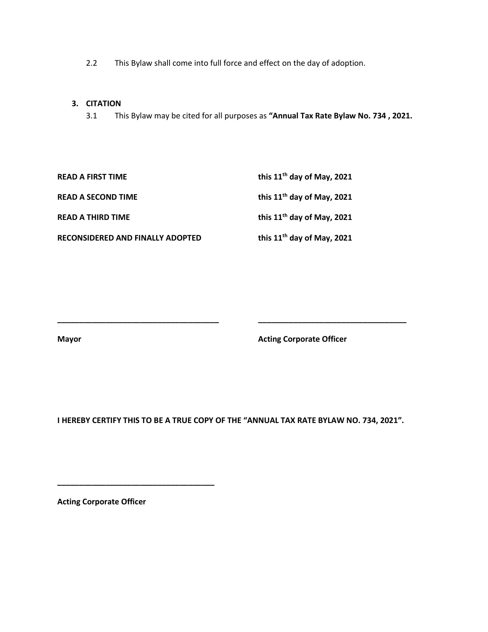2.2 This Bylaw shall come into full force and effect on the day of adoption.

#### **3. CITATION**

3.1 This Bylaw may be cited for all purposes as **"Annual Tax Rate Bylaw No. 734 , 2021.**

| <b>READ A FIRST TIME</b>         | this 11 <sup>th</sup> day of May, 2021 |
|----------------------------------|----------------------------------------|
| <b>READ A SECOND TIME</b>        | this 11 <sup>th</sup> day of May, 2021 |
| <b>READ A THIRD TIME</b>         | this 11 <sup>th</sup> day of May, 2021 |
| RECONSIDERED AND FINALLY ADOPTED | this $11th$ day of May, 2021           |

**Mayor Mayor Acting Corporate Officer** 

**I HEREBY CERTIFY THIS TO BE A TRUE COPY OF THE "ANNUAL TAX RATE BYLAW NO. 734, 2021".**

**\_\_\_\_\_\_\_\_\_\_\_\_\_\_\_\_\_\_\_\_\_\_\_\_\_\_\_\_\_\_\_\_\_\_\_\_\_ \_\_\_\_\_\_\_\_\_\_\_\_\_\_\_\_\_\_\_\_\_\_\_\_\_\_\_\_\_\_\_\_\_\_** 

**Acting Corporate Officer**

**\_\_\_\_\_\_\_\_\_\_\_\_\_\_\_\_\_\_\_\_\_\_\_\_\_\_\_\_\_\_\_\_\_\_\_\_**